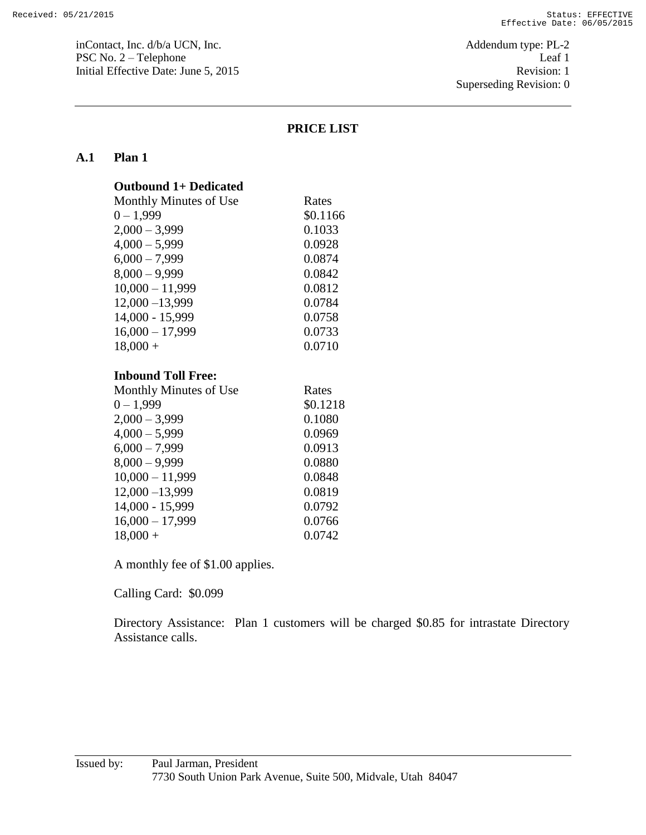inContact, Inc. d/b/a UCN, Inc.  $\blacksquare$  Addendum type: PL-2 PSC No. 2 – Telephone Leaf 1 Initial Effective Date: June 5, 2015 Revision: 1

Superseding Revision: 0

### **PRICE LIST**

#### **A.1 Plan 1**

|  |  |  | <b>Outbound 1+ Dedicated</b> |
|--|--|--|------------------------------|
|  |  |  |                              |

| Monthly Minutes of Use | Rates    |
|------------------------|----------|
| $0 - 1,999$            | \$0.1166 |
| $2,000 - 3,999$        | 0.1033   |
| $4,000 - 5,999$        | 0.0928   |
| $6,000 - 7,999$        | 0.0874   |
| $8,000 - 9,999$        | 0.0842   |
| $10,000 - 11,999$      | 0.0812   |
| $12,000 - 13,999$      | 0.0784   |
| 14,000 - 15,999        | 0.0758   |
| $16,000 - 17,999$      | 0.0733   |
| $18,000 +$             | 0.0710   |

#### **Inbound Toll Free:**

| Monthly Minutes of Use | Rates    |
|------------------------|----------|
| $0 - 1,999$            | \$0.1218 |
| $2,000 - 3,999$        | 0.1080   |
| $4,000 - 5,999$        | 0.0969   |
| $6,000 - 7,999$        | 0.0913   |
| $8,000 - 9,999$        | 0.0880   |
| $10,000 - 11,999$      | 0.0848   |
| $12,000 - 13,999$      | 0.0819   |
| 14,000 - 15,999        | 0.0792   |
| $16,000 - 17,999$      | 0.0766   |
| $18,000 +$             | 0.0742   |

A monthly fee of \$1.00 applies.

Calling Card: \$0.099

Directory Assistance: Plan 1 customers will be charged \$0.85 for intrastate Directory Assistance calls.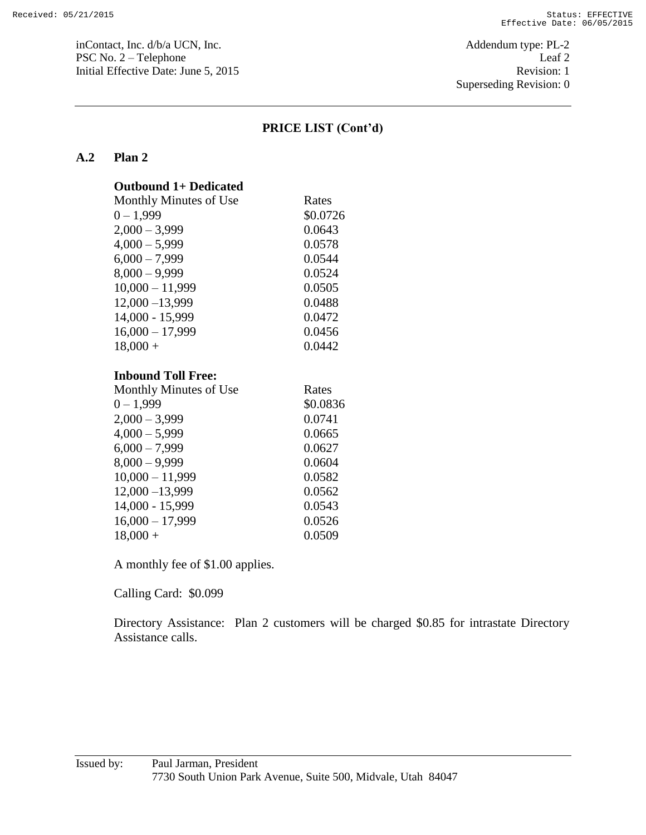inContact, Inc. d/b/a UCN, Inc.  $\blacksquare$ PSC No. 2 – Telephone Leaf 2 Initial Effective Date: June 5, 2015 Revision: 1

Superseding Revision: 0

### **PRICE LIST (Cont'd)**

### **A.2 Plan 2**

| <b>Outbound 1+ Dedicated</b> |
|------------------------------|
| Monthly Minutes of Use       |

| Monthly Minutes of Use | Rates    |
|------------------------|----------|
| $0 - 1,999$            | \$0.0726 |
| $2,000 - 3,999$        | 0.0643   |
| $4,000 - 5,999$        | 0.0578   |
| $6,000 - 7,999$        | 0.0544   |
| $8,000 - 9,999$        | 0.0524   |
| $10,000 - 11,999$      | 0.0505   |
| $12,000 - 13,999$      | 0.0488   |
| 14,000 - 15,999        | 0.0472   |
| $16,000 - 17,999$      | 0.0456   |
| $18,000 +$             | 0.0442   |

#### **Inbound Toll Free:**

| Monthly Minutes of Use | Rates    |
|------------------------|----------|
| $0 - 1,999$            | \$0.0836 |
| $2,000 - 3,999$        | 0.0741   |
| $4,000 - 5,999$        | 0.0665   |
| $6,000 - 7,999$        | 0.0627   |
| $8,000 - 9,999$        | 0.0604   |
| $10,000 - 11,999$      | 0.0582   |
| $12,000 - 13,999$      | 0.0562   |
| 14,000 - 15,999        | 0.0543   |
| $16,000 - 17,999$      | 0.0526   |
| $18,000 +$             | 0.0509   |

A monthly fee of \$1.00 applies.

Calling Card: \$0.099

Directory Assistance: Plan 2 customers will be charged \$0.85 for intrastate Directory Assistance calls.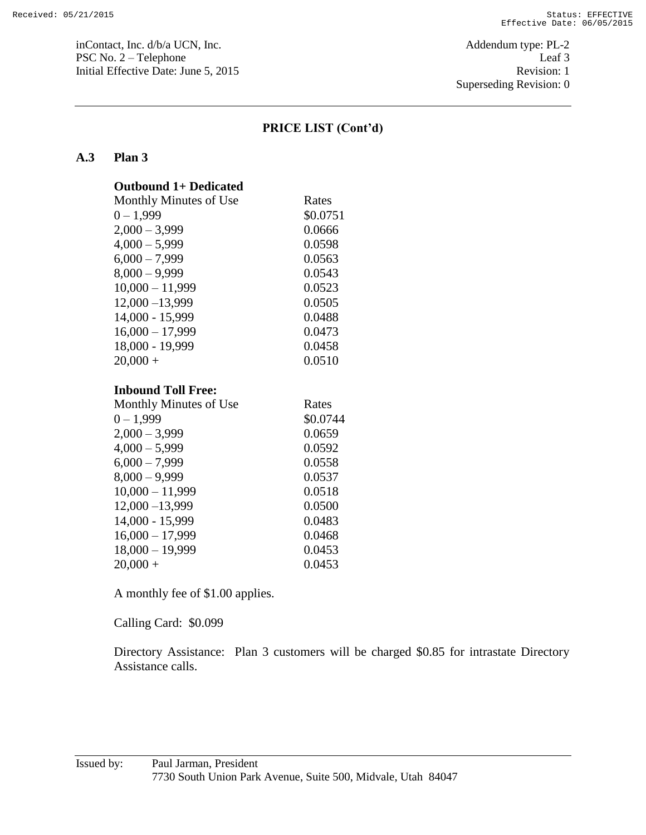inContact, Inc. d/b/a UCN, Inc.  $\blacksquare$ PSC No. 2 – Telephone Leaf 3 Initial Effective Date: June 5, 2015 Revision: 1

Superseding Revision: 0

### **PRICE LIST (Cont'd)**

### **A.3 Plan 3**

| <b>Outbound 1+ Dedicated</b> |          |
|------------------------------|----------|
| Monthly Minutes of Use       | Rates    |
| $0 - 1,999$                  | \$0.0751 |
| $2,000 - 3,999$              | 0.0666   |
| $4,000 - 5,999$              | 0.0598   |
| $6,000 - 7,999$              | 0.0563   |
| $8,000 - 9,999$              | 0.0543   |
| $10,000 - 11,999$            | 0.0523   |
| $12,000 - 13,999$            | 0.0505   |
| 14,000 - 15,999              | 0.0488   |
| $16,000 - 17,999$            | 0.0473   |
| 18,000 - 19,999              | 0.0458   |
| $20,000 +$                   | 0.0510   |
|                              |          |

### **Inbound Toll Free:**

| Rates    |
|----------|
| \$0.0744 |
| 0.0659   |
| 0.0592   |
| 0.0558   |
| 0.0537   |
| 0.0518   |
| 0.0500   |
| 0.0483   |
| 0.0468   |
| 0.0453   |
| 0.0453   |
|          |

A monthly fee of \$1.00 applies.

Calling Card: \$0.099

Directory Assistance: Plan 3 customers will be charged \$0.85 for intrastate Directory Assistance calls.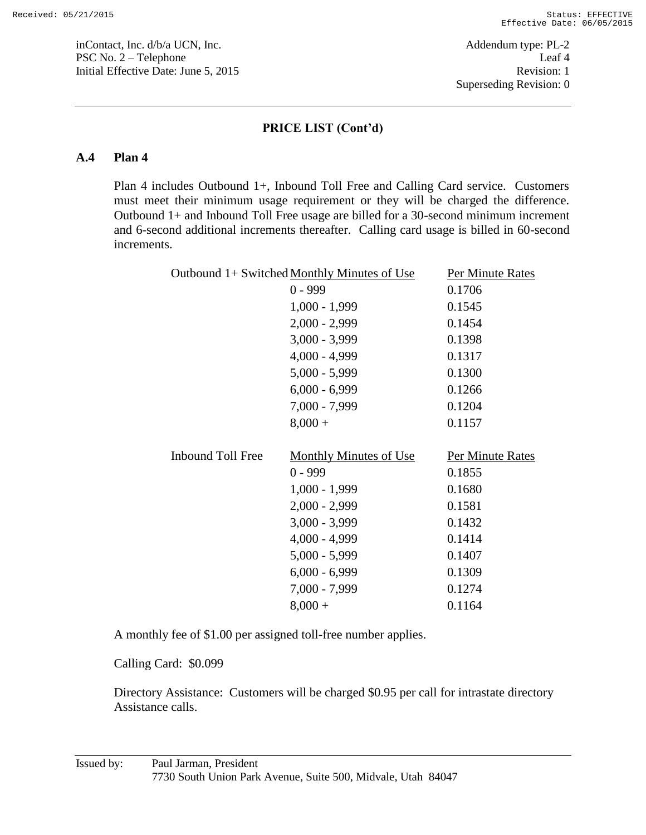inContact, Inc. d/b/a UCN, Inc. Addendum type: PL-2 PSC No. 2 – Telephone Leaf 4 Initial Effective Date: June 5, 2015 Revision: 1

### **PRICE LIST (Cont'd)**

### **A.4 Plan 4**

Plan 4 includes Outbound 1+, Inbound Toll Free and Calling Card service. Customers must meet their minimum usage requirement or they will be charged the difference. Outbound 1+ and Inbound Toll Free usage are billed for a 30-second minimum increment and 6-second additional increments thereafter. Calling card usage is billed in 60-second increments.

|                          | Outbound 1+ Switched Monthly Minutes of Use | Per Minute Rates |
|--------------------------|---------------------------------------------|------------------|
|                          | $0 - 999$                                   | 0.1706           |
|                          | $1,000 - 1,999$                             | 0.1545           |
|                          | $2,000 - 2,999$                             | 0.1454           |
|                          | $3,000 - 3,999$                             | 0.1398           |
|                          | $4,000 - 4,999$                             | 0.1317           |
|                          | $5,000 - 5,999$                             | 0.1300           |
|                          | $6,000 - 6,999$                             | 0.1266           |
|                          | $7,000 - 7,999$                             | 0.1204           |
|                          | $8,000 +$                                   | 0.1157           |
|                          |                                             |                  |
|                          |                                             |                  |
| <b>Inbound Toll Free</b> | <b>Monthly Minutes of Use</b>               | Per Minute Rates |
|                          | $0 - 999$                                   | 0.1855           |
|                          | $1,000 - 1,999$                             | 0.1680           |
|                          | $2,000 - 2,999$                             | 0.1581           |
|                          | $3,000 - 3,999$                             | 0.1432           |
|                          | $4,000 - 4,999$                             | 0.1414           |
|                          | $5,000 - 5,999$                             | 0.1407           |
|                          | $6,000 - 6,999$                             | 0.1309           |
|                          | $7,000 - 7,999$                             | 0.1274           |

A monthly fee of \$1.00 per assigned toll-free number applies.

Calling Card: \$0.099

Directory Assistance: Customers will be charged \$0.95 per call for intrastate directory Assistance calls.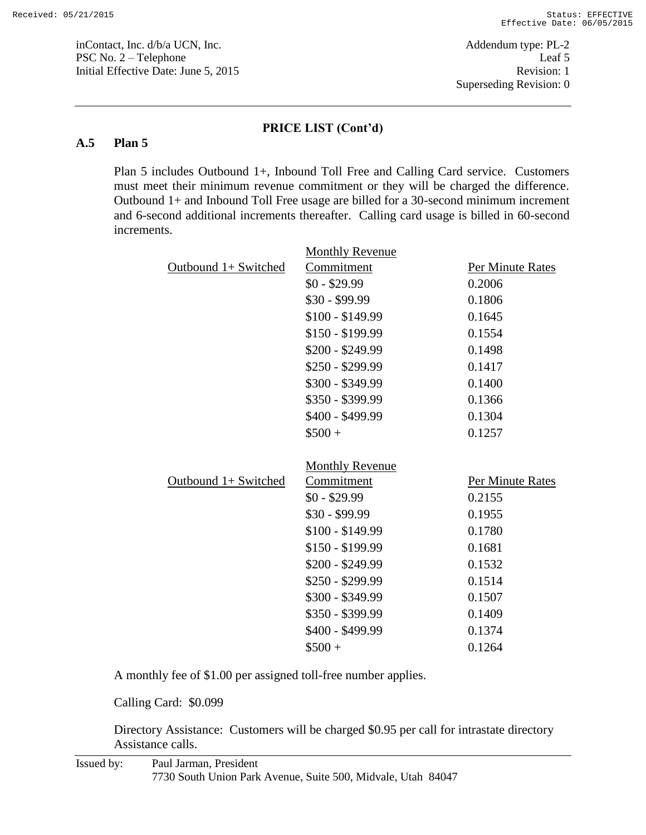inContact, Inc. d/b/a UCN, Inc. Addendum type: PL-2 PSC No. 2 – Telephone Leaf 5 Initial Effective Date: June 5, 2015 Revision: 1

#### **PRICE LIST (Cont'd)**

#### **A.5 Plan 5**

Plan 5 includes Outbound 1+, Inbound Toll Free and Calling Card service. Customers must meet their minimum revenue commitment or they will be charged the difference. Outbound 1+ and Inbound Toll Free usage are billed for a 30-second minimum increment and 6-second additional increments thereafter. Calling card usage is billed in 60-second increments.

|                      | <b>Monthly Revenue</b>               |                  |
|----------------------|--------------------------------------|------------------|
| Outbound 1+ Switched | Commitment                           | Per Minute Rates |
|                      | $$0 - $29.99$                        | 0.2006           |
|                      | $$30 - $99.99$                       | 0.1806           |
|                      | $$100 - $149.99$                     | 0.1645           |
|                      | \$150 - \$199.99                     | 0.1554           |
|                      | $$200 - $249.99$                     | 0.1498           |
|                      | $$250 - $299.99$                     | 0.1417           |
|                      | \$300 - \$349.99                     | 0.1400           |
|                      | \$350 - \$399.99                     | 0.1366           |
|                      | \$400 - \$499.99                     | 0.1304           |
|                      | $$500 +$                             | 0.1257           |
|                      |                                      |                  |
|                      |                                      |                  |
| Outbound 1+ Switched | <b>Monthly Revenue</b><br>Commitment | Per Minute Rates |
|                      | $$0 - $29.99$                        | 0.2155           |
|                      | $$30 - $99.99$                       | 0.1955           |
|                      | $$100 - $149.99$                     | 0.1780           |
|                      | $$150 - $199.99$                     | 0.1681           |
|                      | $$200 - $249.99$                     | 0.1532           |
|                      | \$250 - \$299.99                     | 0.1514           |
|                      | \$300 - \$349.99                     | 0.1507           |
|                      | \$350 - \$399.99                     | 0.1409           |
|                      | \$400 - \$499.99                     | 0.1374           |

A monthly fee of \$1.00 per assigned toll-free number applies.

Calling Card: \$0.099

Directory Assistance: Customers will be charged \$0.95 per call for intrastate directory Assistance calls.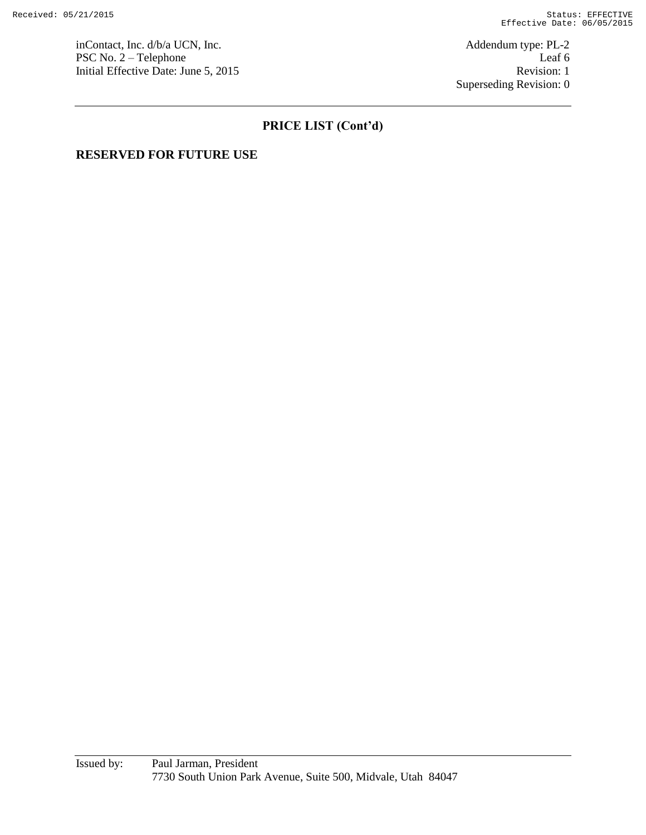inContact, Inc. d/b/a UCN, Inc.  $\blacksquare$  Addendum type: PL-2 PSC No. 2 – Telephone Leaf 6 Initial Effective Date: June 5, 2015 Revision: 1

Superseding Revision: 0

# **PRICE LIST (Cont'd)**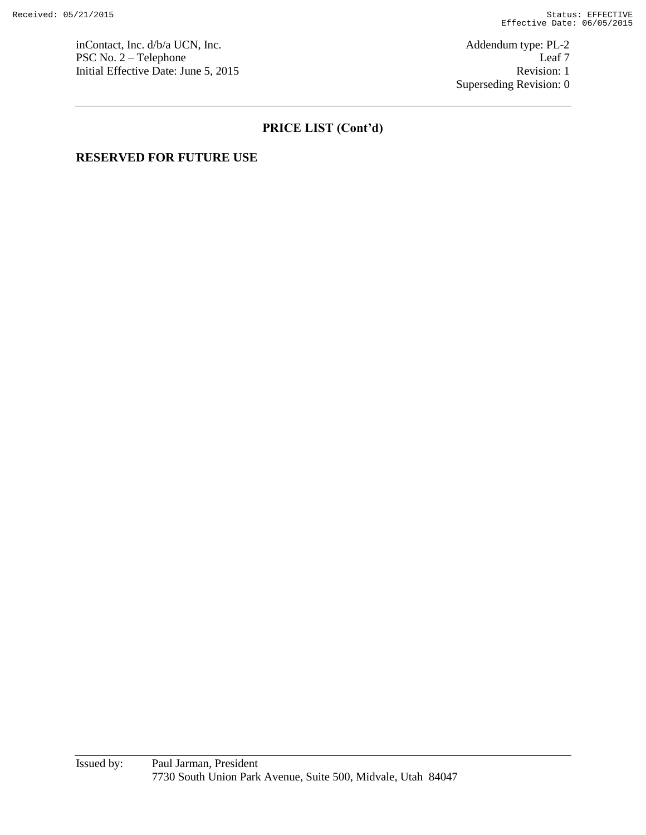inContact, Inc. d/b/a UCN, Inc.  $\blacksquare$ PSC No. 2 – Telephone Leaf 7 Initial Effective Date: June 5, 2015 Revision: 1

Superseding Revision: 0

# **PRICE LIST (Cont'd)**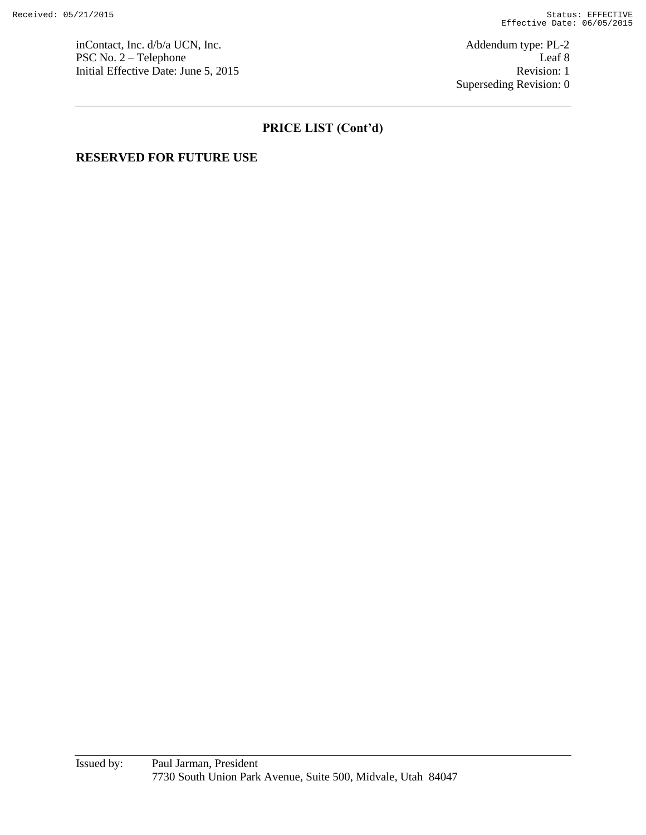inContact, Inc. d/b/a UCN, Inc. <br>
PSC No. 2 – Telephone Leaf 8 PSC No.  $2 -$  Telephone Initial Effective Date: June 5, 2015 Revision: 1

Superseding Revision: 0

# **PRICE LIST (Cont'd)**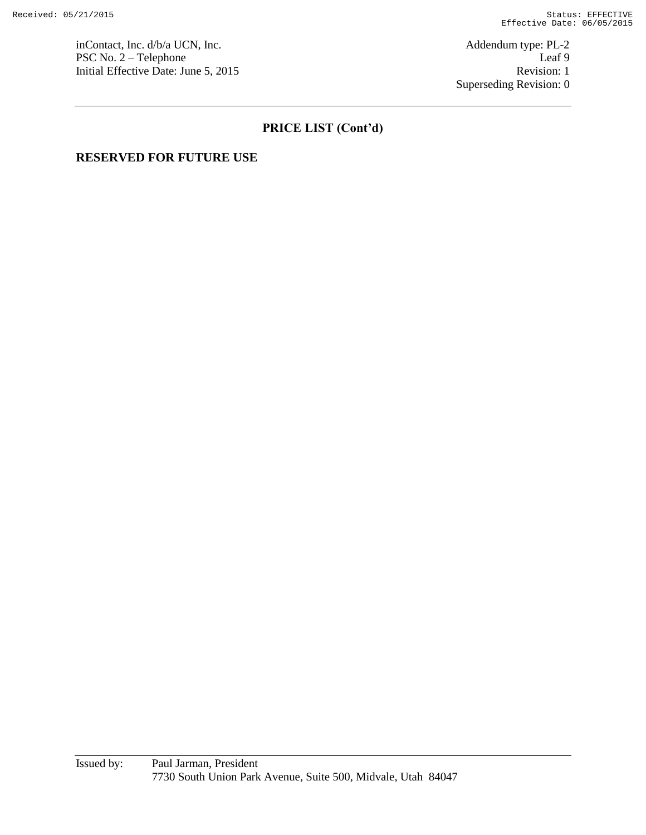inContact, Inc. d/b/a UCN, Inc.  $\blacksquare$ PSC No. 2 – Telephone Leaf 9 Initial Effective Date: June 5, 2015 Revision: 1

Superseding Revision: 0

# **PRICE LIST (Cont'd)**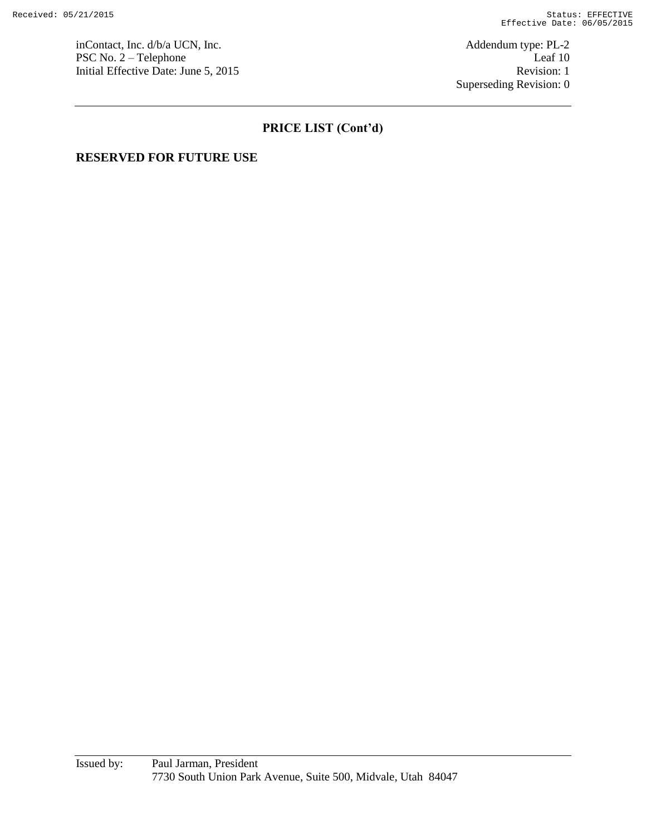inContact, Inc. d/b/a UCN, Inc. <br>
PSC No. 2 – Telephone Leaf 10 PSC No.  $2 -$  Telephone Initial Effective Date: June 5, 2015 Revision: 1

Superseding Revision: 0

# **PRICE LIST (Cont'd)**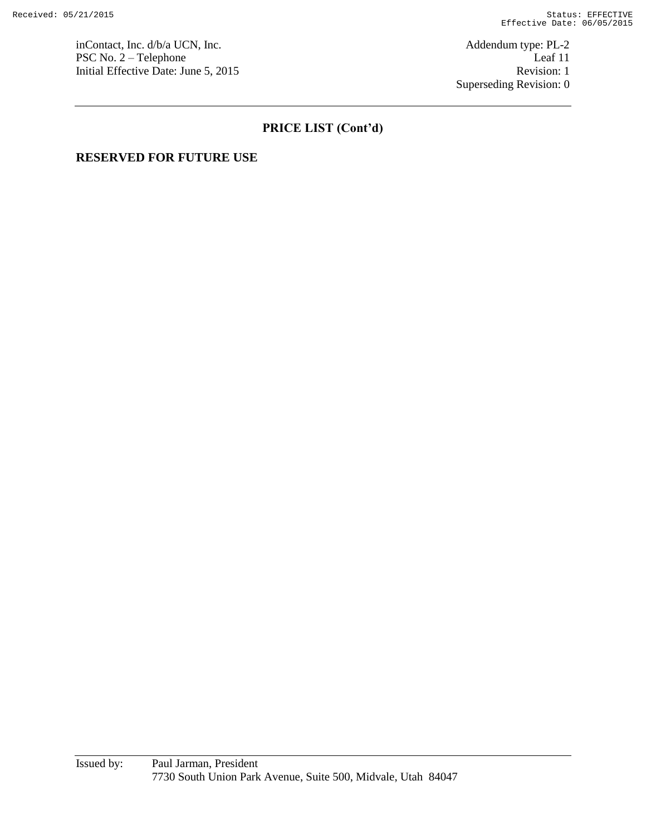inContact, Inc. d/b/a UCN, Inc.  $\blacksquare$ PSC No. 2 – Telephone Leaf 11 Initial Effective Date: June 5, 2015 Revision: 1

Superseding Revision: 0

# **PRICE LIST (Cont'd)**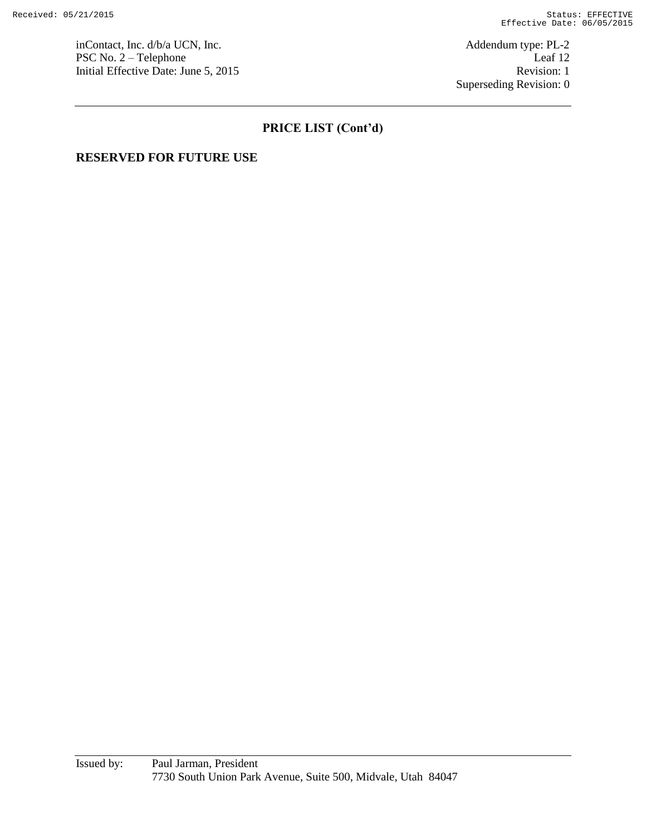inContact, Inc. d/b/a UCN, Inc.  $\blacksquare$  Addendum type: PL-2 PSC No. 2 – Telephone Leaf 12 Initial Effective Date: June 5, 2015 Revision: 1

Superseding Revision: 0

# **PRICE LIST (Cont'd)**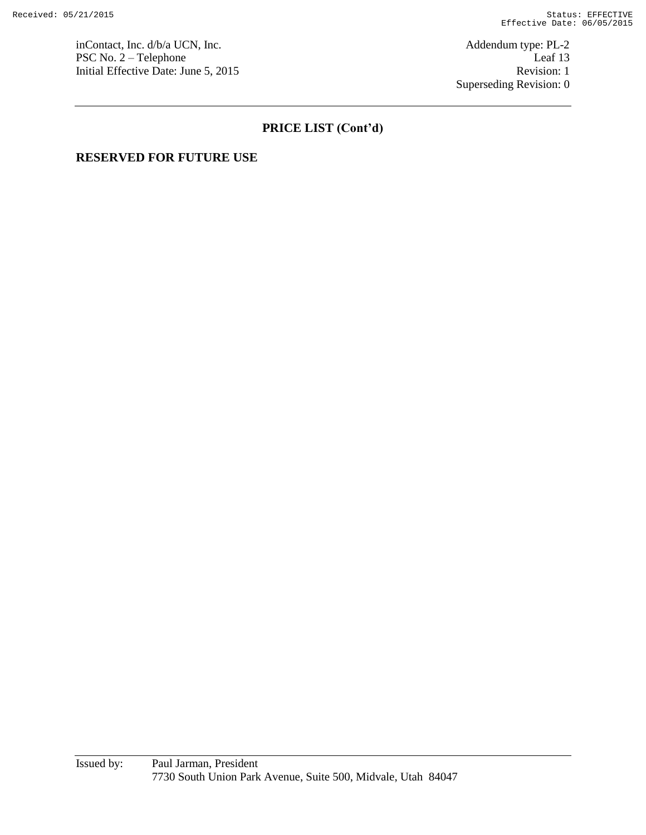inContact, Inc. d/b/a UCN, Inc.  $\blacksquare$  Addendum type: PL-2 PSC No. 2 – Telephone Leaf 13 Initial Effective Date: June 5, 2015 Revision: 1

Superseding Revision: 0

# **PRICE LIST (Cont'd)**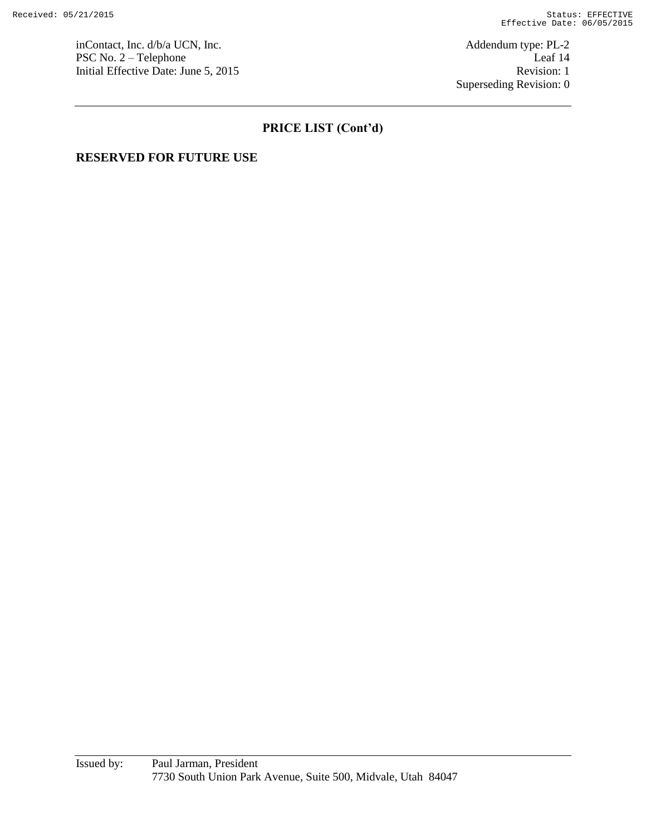inContact, Inc. d/b/a UCN, Inc.  $\blacksquare$ PSC No. 2 – Telephone Leaf 14 Initial Effective Date: June 5, 2015 Revision: 1

Superseding Revision: 0

# **PRICE LIST (Cont'd)**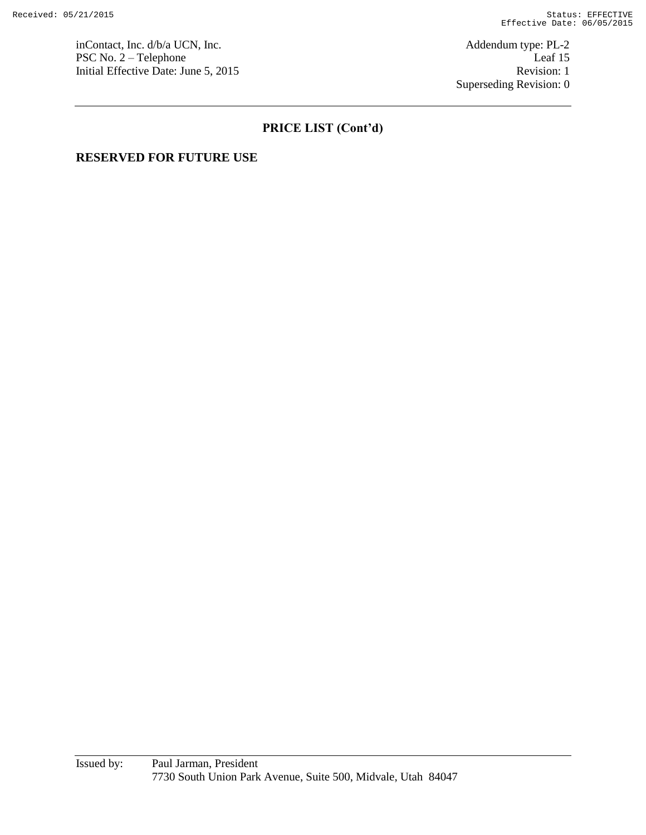inContact, Inc. d/b/a UCN, Inc.  $\blacksquare$  Addendum type: PL-2 PSC No. 2 – Telephone Leaf 15 Initial Effective Date: June 5, 2015 Revision: 1

Superseding Revision: 0

# **PRICE LIST (Cont'd)**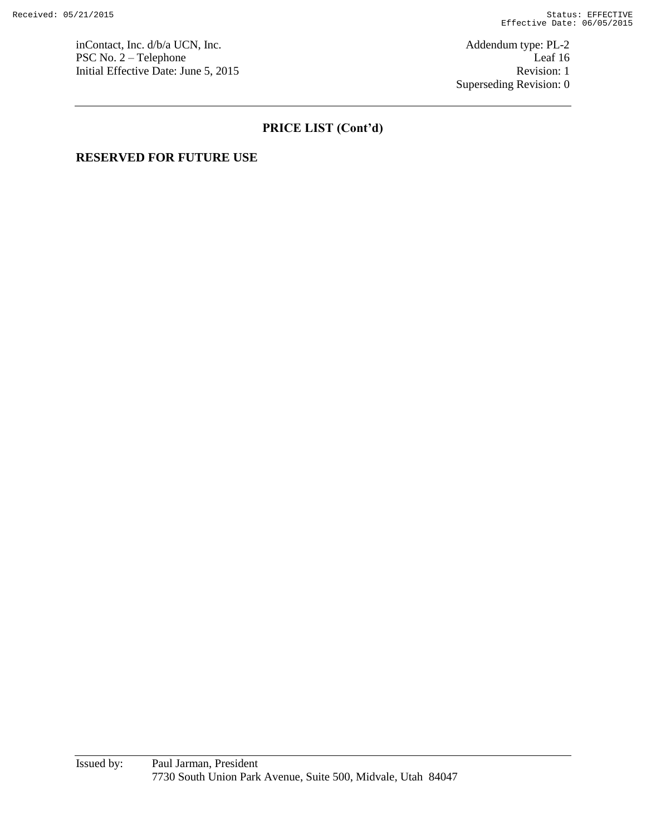inContact, Inc. d/b/a UCN, Inc. <br>
PSC No. 2 – Telephone Leaf 16 PSC No.  $2 -$  Telephone Initial Effective Date: June 5, 2015 Revision: 1

Superseding Revision: 0

# **PRICE LIST (Cont'd)**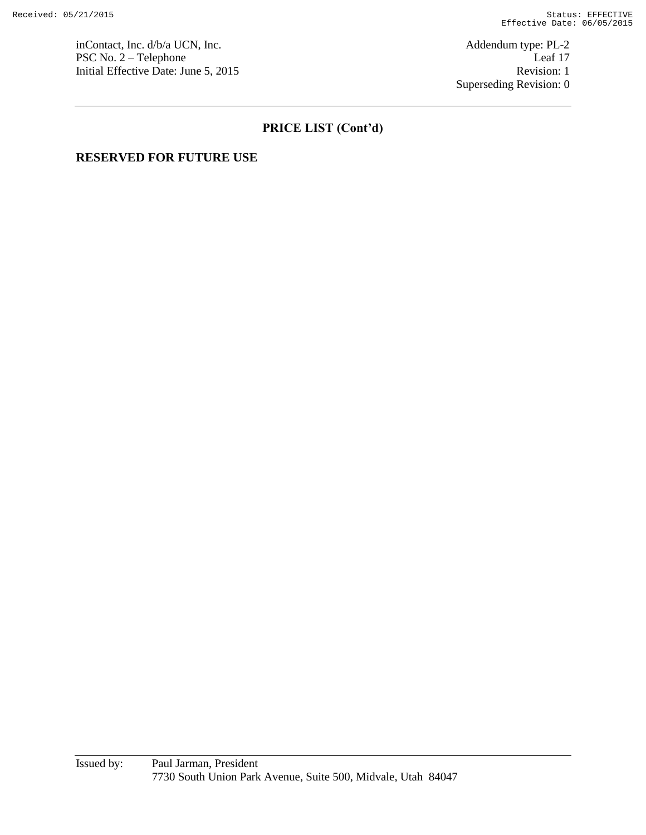inContact, Inc. d/b/a UCN, Inc.  $\blacksquare$ PSC No. 2 – Telephone Leaf 17 Initial Effective Date: June 5, 2015 Revision: 1

Superseding Revision: 0

# **PRICE LIST (Cont'd)**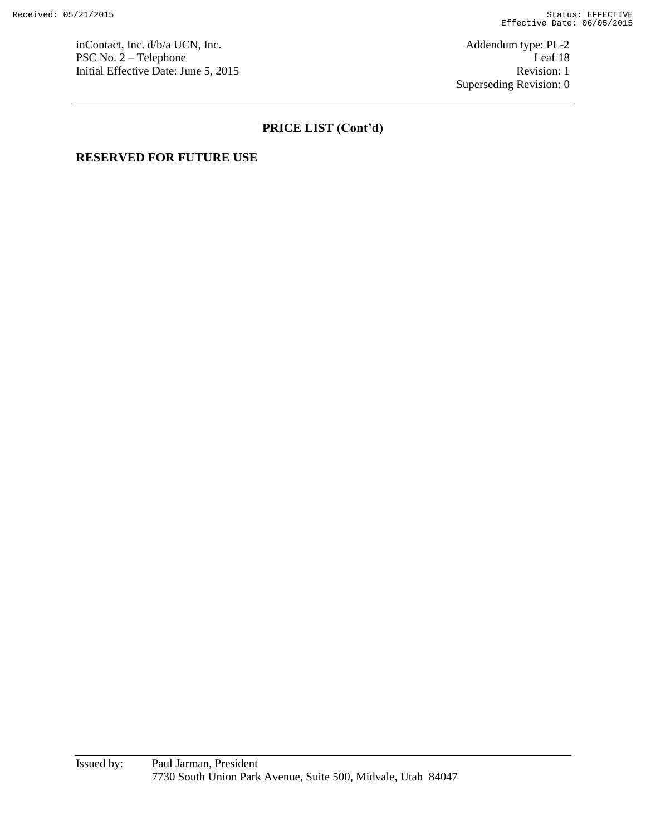inContact, Inc. d/b/a UCN, Inc.  $\blacksquare$  Addendum type: PL-2 PSC No. 2 – Telephone Leaf 18 Initial Effective Date: June 5, 2015 Revision: 1

Superseding Revision: 0

# **PRICE LIST (Cont'd)**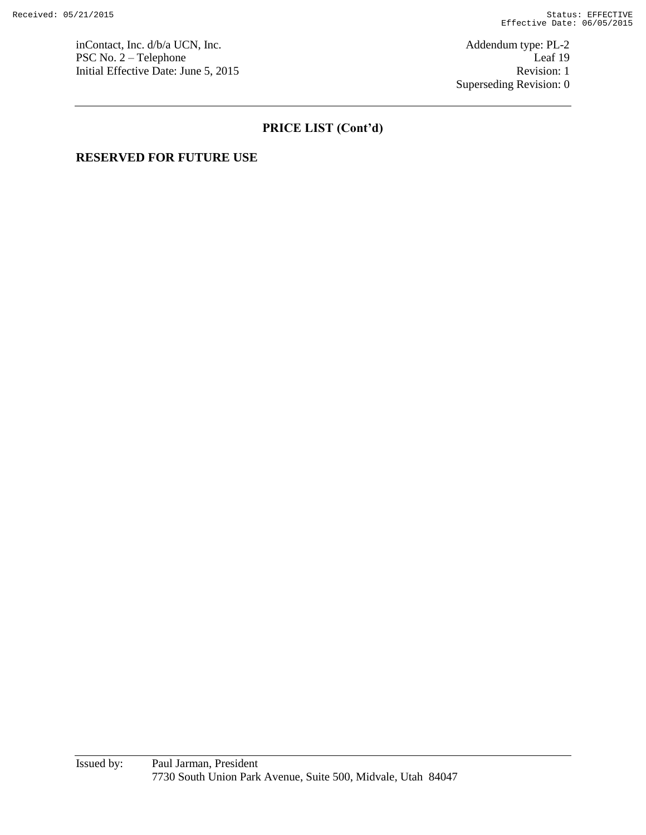inContact, Inc. d/b/a UCN, Inc. <br>
PSC No. 2 – Telephone Leaf 19 PSC No.  $2 -$  Telephone Initial Effective Date: June 5, 2015 Revision: 1

Superseding Revision: 0

# **PRICE LIST (Cont'd)**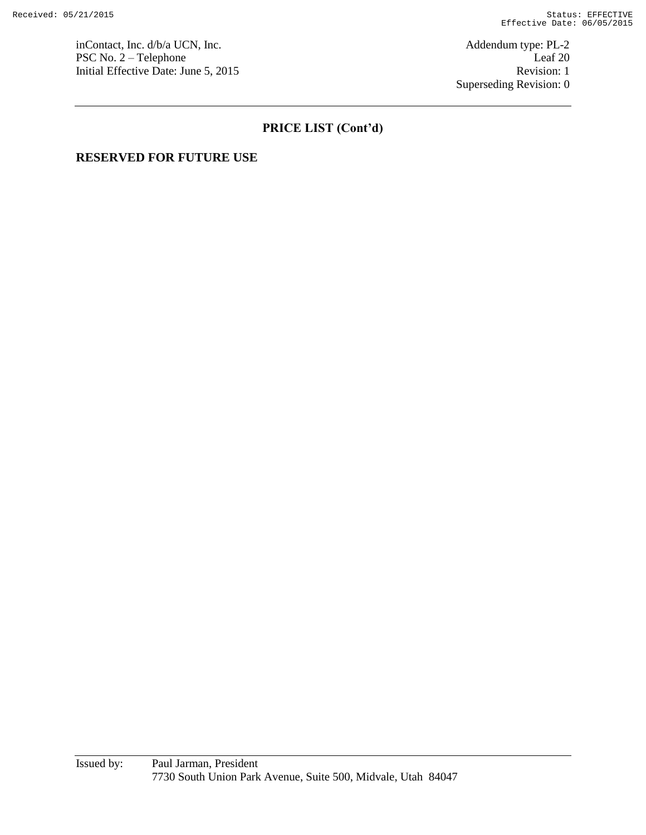inContact, Inc. d/b/a UCN, Inc.  $\blacksquare$  Addendum type: PL-2 PSC No. 2 – Telephone Leaf 20 Initial Effective Date: June 5, 2015 Revision: 1

Superseding Revision: 0

# **PRICE LIST (Cont'd)**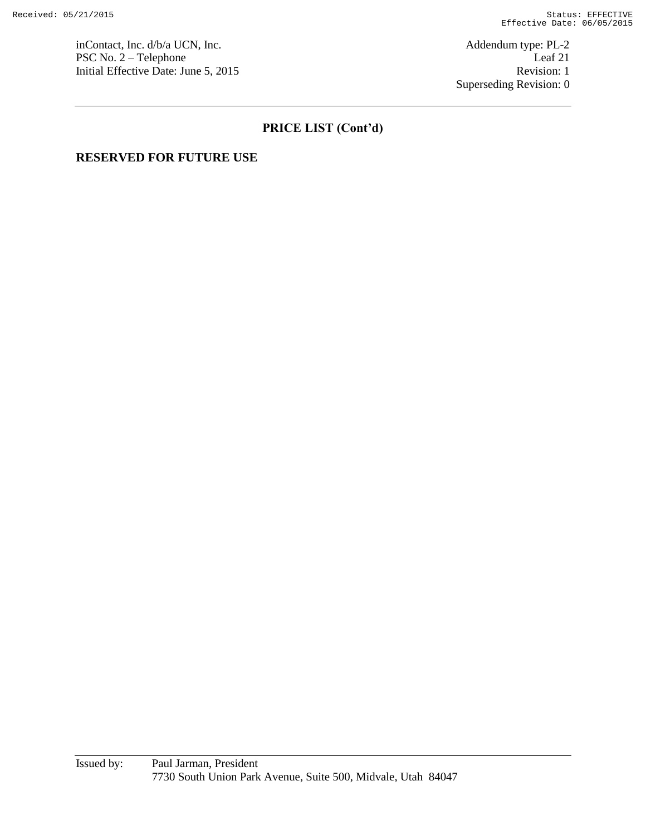inContact, Inc. d/b/a UCN, Inc.  $\blacksquare$  Addendum type: PL-2 PSC No. 2 – Telephone Leaf 21 Initial Effective Date: June 5, 2015 Revision: 1

Superseding Revision: 0

# **PRICE LIST (Cont'd)**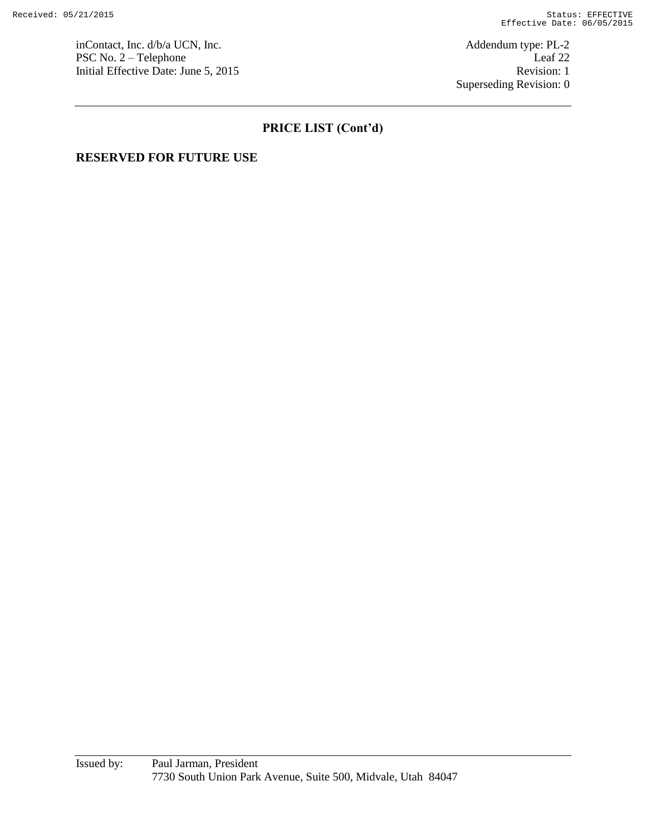inContact, Inc. d/b/a UCN, Inc.  $\blacksquare$  Addendum type: PL-2 PSC No. 2 – Telephone Leaf 22 Initial Effective Date: June 5, 2015 Revision: 1

Superseding Revision: 0

# **PRICE LIST (Cont'd)**